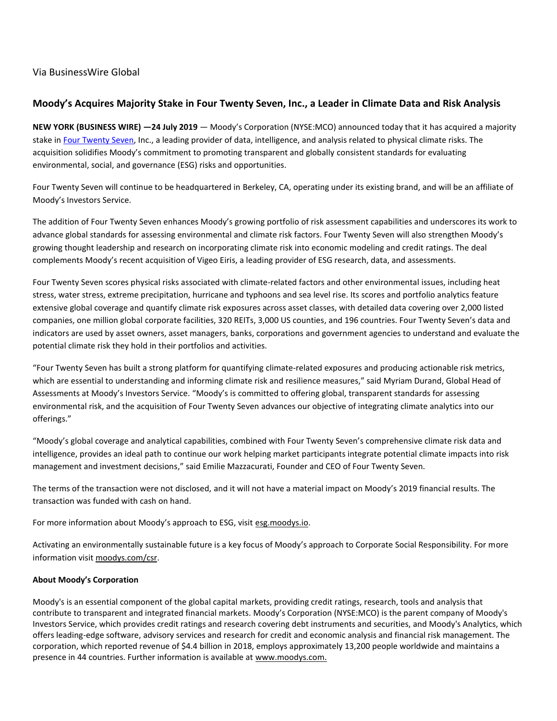Via BusinessWire Global

## **Moody's Acquires Majority Stake in Four Twenty Seven, Inc., a Leader in Climate Data and Risk Analysis**

**NEW YORK (BUSINESS WIRE) —24 July 2019** — Moody's Corporation (NYSE:MCO) announced today that it has acquired a majority stake i[n Four Twenty Seven,](http://427mt.com/) Inc., a leading provider of data, intelligence, and analysis related to physical climate risks. The acquisition solidifies Moody's commitment to promoting transparent and globally consistent standards for evaluating environmental, social, and governance (ESG) risks and opportunities.

Four Twenty Seven will continue to be headquartered in Berkeley, CA, operating under its existing brand, and will be an affiliate of Moody's Investors Service.

The addition of Four Twenty Seven enhances Moody's growing portfolio of risk assessment capabilities and underscores its work to advance global standards for assessing environmental and climate risk factors. Four Twenty Seven will also strengthen Moody's growing thought leadership and research on incorporating climate risk into economic modeling and credit ratings. The deal complements Moody's recent acquisition of Vigeo Eiris, a leading provider of ESG research, data, and assessments.

Four Twenty Seven scores physical risks associated with climate-related factors and other environmental issues, including heat stress, water stress, extreme precipitation, hurricane and typhoons and sea level rise. Its scores and portfolio analytics feature extensive global coverage and quantify climate risk exposures across asset classes, with detailed data covering over 2,000 listed companies, one million global corporate facilities, 320 REITs, 3,000 US counties, and 196 countries. Four Twenty Seven's data and indicators are used by asset owners, asset managers, banks, corporations and government agencies to understand and evaluate the potential climate risk they hold in their portfolios and activities.

"Four Twenty Seven has built a strong platform for quantifying climate-related exposures and producing actionable risk metrics, which are essential to understanding and informing climate risk and resilience measures," said Myriam Durand, Global Head of Assessments at Moody's Investors Service. "Moody's is committed to offering global, transparent standards for assessing environmental risk, and the acquisition of Four Twenty Seven advances our objective of integrating climate analytics into our offerings."

"Moody's global coverage and analytical capabilities, combined with Four Twenty Seven's comprehensive climate risk data and intelligence, provides an ideal path to continue our work helping market participants integrate potential climate impacts into risk management and investment decisions," said Emilie Mazzacurati, Founder and CEO of Four Twenty Seven.

The terms of the transaction were not disclosed, and it will not have a material impact on Moody's 2019 financial results. The transaction was funded with cash on hand.

For more information about Moody's approach to ESG, visit esg.moodys.io.

Activating an environmentally sustainable future is a key focus of Moody's approach to Corporate Social Responsibility. For more information visit moodys.com/csr.

## **About Moody's Corporation**

Moody's is an essential component of the global capital markets, providing credit ratings, research, tools and analysis that contribute to transparent and integrated financial markets. Moody's Corporation (NYSE:MCO) is the parent company of Moody's Investors Service, which provides credit ratings and research covering debt instruments and securities, and Moody's Analytics, which offers leading-edge software, advisory services and research for credit and economic analysis and financial risk management. The corporation, which reported revenue of \$4.4 billion in 2018, employs approximately 13,200 people worldwide and maintains a presence in 44 countries. Further information is available at [www.moodys.com.](https://ir.moodys.com/news-and-financials/press-releases/press-release-details/2019/Moodys-Details-Global-CSR-Accomplishments/www.moodys.com.)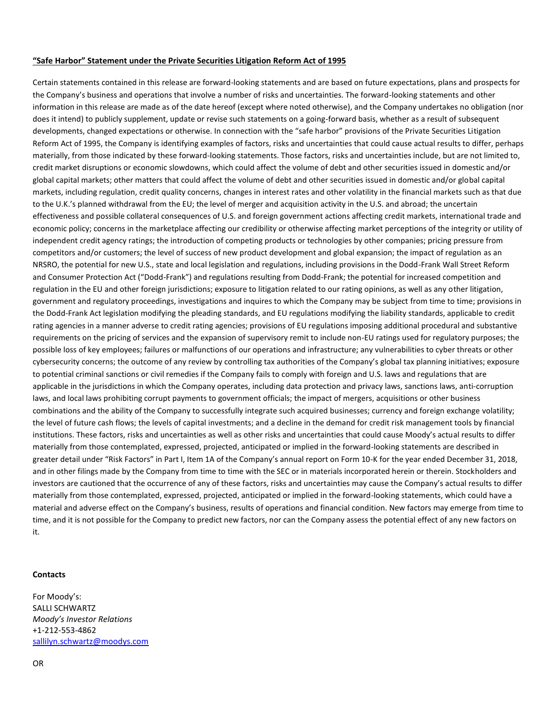## **"Safe Harbor" Statement under the Private Securities Litigation Reform Act of 1995**

Certain statements contained in this release are forward-looking statements and are based on future expectations, plans and prospects for the Company's business and operations that involve a number of risks and uncertainties. The forward-looking statements and other information in this release are made as of the date hereof (except where noted otherwise), and the Company undertakes no obligation (nor does it intend) to publicly supplement, update or revise such statements on a going-forward basis, whether as a result of subsequent developments, changed expectations or otherwise. In connection with the "safe harbor" provisions of the Private Securities Litigation Reform Act of 1995, the Company is identifying examples of factors, risks and uncertainties that could cause actual results to differ, perhaps materially, from those indicated by these forward-looking statements. Those factors, risks and uncertainties include, but are not limited to, credit market disruptions or economic slowdowns, which could affect the volume of debt and other securities issued in domestic and/or global capital markets; other matters that could affect the volume of debt and other securities issued in domestic and/or global capital markets, including regulation, credit quality concerns, changes in interest rates and other volatility in the financial markets such as that due to the U.K.'s planned withdrawal from the EU; the level of merger and acquisition activity in the U.S. and abroad; the uncertain effectiveness and possible collateral consequences of U.S. and foreign government actions affecting credit markets, international trade and economic policy; concerns in the marketplace affecting our credibility or otherwise affecting market perceptions of the integrity or utility of independent credit agency ratings; the introduction of competing products or technologies by other companies; pricing pressure from competitors and/or customers; the level of success of new product development and global expansion; the impact of regulation as an NRSRO, the potential for new U.S., state and local legislation and regulations, including provisions in the Dodd-Frank Wall Street Reform and Consumer Protection Act ("Dodd-Frank") and regulations resulting from Dodd-Frank; the potential for increased competition and regulation in the EU and other foreign jurisdictions; exposure to litigation related to our rating opinions, as well as any other litigation, government and regulatory proceedings, investigations and inquires to which the Company may be subject from time to time; provisions in the Dodd-Frank Act legislation modifying the pleading standards, and EU regulations modifying the liability standards, applicable to credit rating agencies in a manner adverse to credit rating agencies; provisions of EU regulations imposing additional procedural and substantive requirements on the pricing of services and the expansion of supervisory remit to include non-EU ratings used for regulatory purposes; the possible loss of key employees; failures or malfunctions of our operations and infrastructure; any vulnerabilities to cyber threats or other cybersecurity concerns; the outcome of any review by controlling tax authorities of the Company's global tax planning initiatives; exposure to potential criminal sanctions or civil remedies if the Company fails to comply with foreign and U.S. laws and regulations that are applicable in the jurisdictions in which the Company operates, including data protection and privacy laws, sanctions laws, anti-corruption laws, and local laws prohibiting corrupt payments to government officials; the impact of mergers, acquisitions or other business combinations and the ability of the Company to successfully integrate such acquired businesses; currency and foreign exchange volatility; the level of future cash flows; the levels of capital investments; and a decline in the demand for credit risk management tools by financial institutions. These factors, risks and uncertainties as well as other risks and uncertainties that could cause Moody's actual results to differ materially from those contemplated, expressed, projected, anticipated or implied in the forward-looking statements are described in greater detail under "Risk Factors" in Part I, Item 1A of the Company's annual report on Form 10-K for the year ended December 31, 2018, and in other filings made by the Company from time to time with the SEC or in materials incorporated herein or therein. Stockholders and investors are cautioned that the occurrence of any of these factors, risks and uncertainties may cause the Company's actual results to differ materially from those contemplated, expressed, projected, anticipated or implied in the forward-looking statements, which could have a material and adverse effect on the Company's business, results of operations and financial condition. New factors may emerge from time to time, and it is not possible for the Company to predict new factors, nor can the Company assess the potential effect of any new factors on it.

## **Contacts**

For Moody's: SALLI SCHWARTZ *Moody's Investor Relations* +1-212-553-4862 [sallilyn.schwartz@moodys.com](mailto:sallilyn.schwartz@moodys.com)